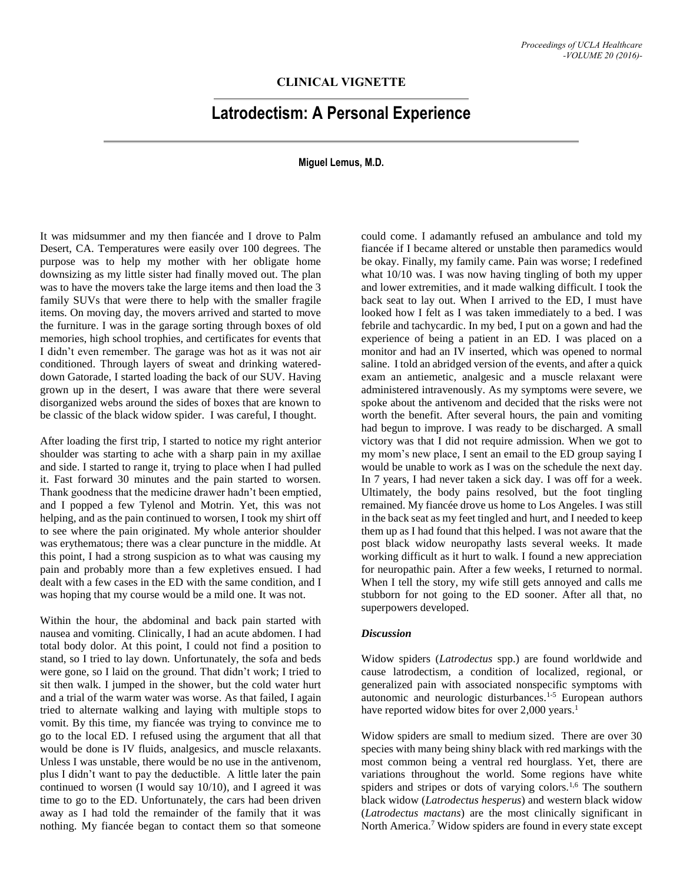## **CLINICAL VIGNETTE**

# **Latrodectism: A Personal Experience**

#### **Miguel Lemus, M.D.**

It was midsummer and my then fiancée and I drove to Palm Desert, CA. Temperatures were easily over 100 degrees. The purpose was to help my mother with her obligate home downsizing as my little sister had finally moved out. The plan was to have the movers take the large items and then load the 3 family SUVs that were there to help with the smaller fragile items. On moving day, the movers arrived and started to move the furniture. I was in the garage sorting through boxes of old memories, high school trophies, and certificates for events that I didn't even remember. The garage was hot as it was not air conditioned. Through layers of sweat and drinking watereddown Gatorade, I started loading the back of our SUV. Having grown up in the desert, I was aware that there were several disorganized webs around the sides of boxes that are known to be classic of the black widow spider. I was careful, I thought.

After loading the first trip, I started to notice my right anterior shoulder was starting to ache with a sharp pain in my axillae and side. I started to range it, trying to place when I had pulled it. Fast forward 30 minutes and the pain started to worsen. Thank goodness that the medicine drawer hadn't been emptied, and I popped a few Tylenol and Motrin. Yet, this was not helping, and as the pain continued to worsen, I took my shirt off to see where the pain originated. My whole anterior shoulder was erythematous; there was a clear puncture in the middle. At this point, I had a strong suspicion as to what was causing my pain and probably more than a few expletives ensued. I had dealt with a few cases in the ED with the same condition, and I was hoping that my course would be a mild one. It was not.

Within the hour, the abdominal and back pain started with nausea and vomiting. Clinically, I had an acute abdomen. I had total body dolor. At this point, I could not find a position to stand, so I tried to lay down. Unfortunately, the sofa and beds were gone, so I laid on the ground. That didn't work; I tried to sit then walk. I jumped in the shower, but the cold water hurt and a trial of the warm water was worse. As that failed, I again tried to alternate walking and laying with multiple stops to vomit. By this time, my fiancée was trying to convince me to go to the local ED. I refused using the argument that all that would be done is IV fluids, analgesics, and muscle relaxants. Unless I was unstable, there would be no use in the antivenom, plus I didn't want to pay the deductible. A little later the pain continued to worsen (I would say 10/10), and I agreed it was time to go to the ED. Unfortunately, the cars had been driven away as I had told the remainder of the family that it was nothing. My fiancée began to contact them so that someone could come. I adamantly refused an ambulance and told my fiancée if I became altered or unstable then paramedics would be okay. Finally, my family came. Pain was worse; I redefined what 10/10 was. I was now having tingling of both my upper and lower extremities, and it made walking difficult. I took the back seat to lay out. When I arrived to the ED, I must have looked how I felt as I was taken immediately to a bed. I was febrile and tachycardic. In my bed, I put on a gown and had the experience of being a patient in an ED. I was placed on a monitor and had an IV inserted, which was opened to normal saline. I told an abridged version of the events, and after a quick exam an antiemetic, analgesic and a muscle relaxant were administered intravenously. As my symptoms were severe, we spoke about the antivenom and decided that the risks were not worth the benefit. After several hours, the pain and vomiting had begun to improve. I was ready to be discharged. A small victory was that I did not require admission. When we got to my mom's new place, I sent an email to the ED group saying I would be unable to work as I was on the schedule the next day. In 7 years, I had never taken a sick day. I was off for a week. Ultimately, the body pains resolved, but the foot tingling remained. My fiancée drove us home to Los Angeles. I was still in the back seat as my feet tingled and hurt, and I needed to keep them up as I had found that this helped. I was not aware that the post black widow neuropathy lasts several weeks. It made working difficult as it hurt to walk. I found a new appreciation for neuropathic pain. After a few weeks, I returned to normal. When I tell the story, my wife still gets annoyed and calls me stubborn for not going to the ED sooner. After all that, no superpowers developed.

#### *Discussion*

Widow spiders (*Latrodectus* spp.) are found worldwide and cause latrodectism, a condition of localized, regional, or generalized pain with associated nonspecific symptoms with autonomic and neurologic disturbances.<sup>1-5</sup> European authors have reported widow bites for over 2,000 years.<sup>1</sup>

Widow spiders are small to medium sized. There are over 30 species with many being shiny black with red markings with the most common being a ventral red hourglass. Yet, there are variations throughout the world. Some regions have white spiders and stripes or dots of varying colors.<sup>1,6</sup> The southern black widow (*Latrodectus hesperus*) and western black widow (*Latrodectus mactans*) are the most clinically significant in North America.<sup>7</sup> Widow spiders are found in every state except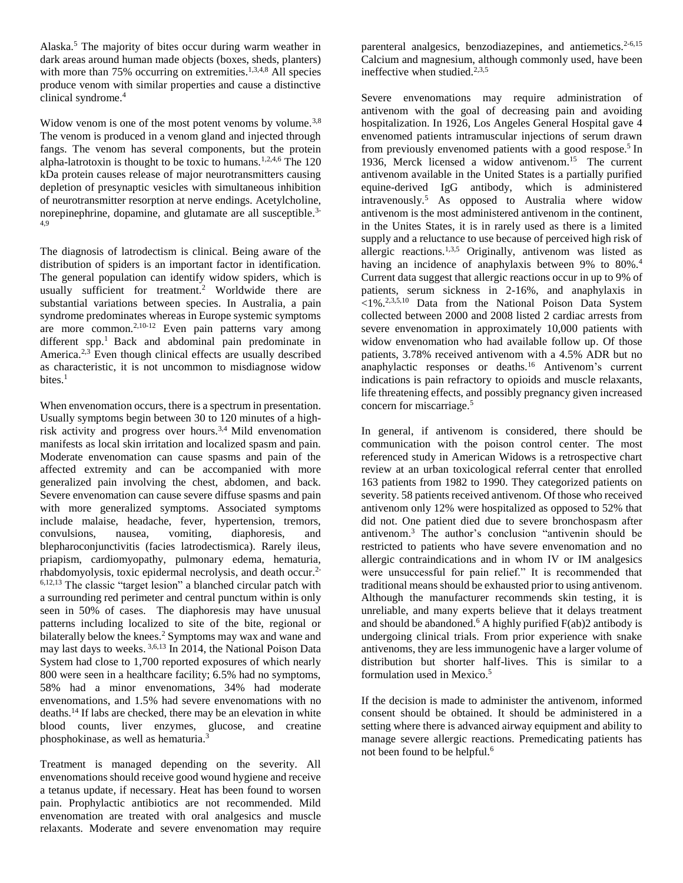Alaska.<sup>5</sup> The majority of bites occur during warm weather in dark areas around human made objects (boxes, sheds, planters) with more than 75% occurring on extremities.<sup>1,3,4,8</sup> All species produce venom with similar properties and cause a distinctive clinical syndrome.<sup>4</sup>

Widow venom is one of the most potent venoms by volume.<sup>3,8</sup> The venom is produced in a venom gland and injected through fangs. The venom has several components, but the protein alpha-latrotoxin is thought to be toxic to humans.<sup>1,2,4,6</sup> The 120 kDa protein causes release of major neurotransmitters causing depletion of presynaptic vesicles with simultaneous inhibition of neurotransmitter resorption at nerve endings. Acetylcholine, norepinephrine, dopamine, and glutamate are all susceptible.3- 4,9

The diagnosis of latrodectism is clinical. Being aware of the distribution of spiders is an important factor in identification. The general population can identify widow spiders, which is usually sufficient for treatment.<sup>2</sup> Worldwide there are substantial variations between species. In Australia, a pain syndrome predominates whereas in Europe systemic symptoms are more common.<sup>2,10-12</sup> Even pain patterns vary among different spp.<sup>1</sup> Back and abdominal pain predominate in America.<sup>2,3</sup> Even though clinical effects are usually described as characteristic, it is not uncommon to misdiagnose widow bites. $<sup>1</sup>$ </sup>

When envenomation occurs, there is a spectrum in presentation. Usually symptoms begin between 30 to 120 minutes of a highrisk activity and progress over hours.3,4 Mild envenomation manifests as local skin irritation and localized spasm and pain. Moderate envenomation can cause spasms and pain of the affected extremity and can be accompanied with more generalized pain involving the chest, abdomen, and back. Severe envenomation can cause severe diffuse spasms and pain with more generalized symptoms. Associated symptoms include malaise, headache, fever, hypertension, tremors, convulsions, nausea, vomiting, diaphoresis, and blepharoconjunctivitis (facies latrodectismica). Rarely ileus, priapism, cardiomyopathy, pulmonary edema, hematuria, rhabdomyolysis, toxic epidermal necrolysis, and death occur.2- 6,12,13 The classic "target lesion" a blanched circular patch with a surrounding red perimeter and central punctum within is only seen in 50% of cases. The diaphoresis may have unusual patterns including localized to site of the bite, regional or bilaterally below the knees.<sup>2</sup> Symptoms may wax and wane and may last days to weeks. 3,6,13 In 2014, the National Poison Data System had close to 1,700 reported exposures of which nearly 800 were seen in a healthcare facility; 6.5% had no symptoms, 58% had a minor envenomations, 34% had moderate envenomations, and 1.5% had severe envenomations with no deaths.<sup>14</sup> If labs are checked, there may be an elevation in white blood counts, liver enzymes, glucose, and creatine phosphokinase, as well as hematuria.

Treatment is managed depending on the severity. All envenomations should receive good wound hygiene and receive a tetanus update, if necessary. Heat has been found to worsen pain. Prophylactic antibiotics are not recommended. Mild envenomation are treated with oral analgesics and muscle relaxants. Moderate and severe envenomation may require parenteral analgesics, benzodiazepines, and antiemetics.<sup>2-6,15</sup> Calcium and magnesium, although commonly used, have been ineffective when studied.<sup>2,3,5</sup>

Severe envenomations may require administration of antivenom with the goal of decreasing pain and avoiding hospitalization. In 1926, Los Angeles General Hospital gave 4 envenomed patients intramuscular injections of serum drawn from previously envenomed patients with a good respose.<sup>5</sup> In 1936, Merck licensed a widow antivenom.<sup>15</sup> The current antivenom available in the United States is a partially purified equine-derived IgG antibody, which is administered intravenously.<sup>5</sup> As opposed to Australia where widow antivenom is the most administered antivenom in the continent, in the Unites States, it is in rarely used as there is a limited supply and a reluctance to use because of perceived high risk of allergic reactions.<sup>1,3,5</sup> Originally, antivenom was listed as having an incidence of anaphylaxis between 9% to 80%.<sup>4</sup> Current data suggest that allergic reactions occur in up to 9% of patients, serum sickness in 2-16%, and anaphylaxis in  $<$ 1%<sup>2,3,5,10</sup> Data from the National Poison Data System collected between 2000 and 2008 listed 2 cardiac arrests from severe envenomation in approximately 10,000 patients with widow envenomation who had available follow up. Of those patients, 3.78% received antivenom with a 4.5% ADR but no anaphylactic responses or deaths.<sup>16</sup> Antivenom's current indications is pain refractory to opioids and muscle relaxants, life threatening effects, and possibly pregnancy given increased concern for miscarriage.<sup>5</sup>

In general, if antivenom is considered, there should be communication with the poison control center. The most referenced study in American Widows is a retrospective chart review at an urban toxicological referral center that enrolled 163 patients from 1982 to 1990. They categorized patients on severity. 58 patients received antivenom. Of those who received antivenom only 12% were hospitalized as opposed to 52% that did not. One patient died due to severe bronchospasm after antivenom. <sup>3</sup> The author's conclusion "antivenin should be restricted to patients who have severe envenomation and no allergic contraindications and in whom IV or IM analgesics were unsuccessful for pain relief." It is recommended that traditional means should be exhausted prior to using antivenom. Although the manufacturer recommends skin testing, it is unreliable, and many experts believe that it delays treatment and should be abandoned.<sup>6</sup> A highly purified  $F(ab)$ <sup>2</sup> antibody is undergoing clinical trials. From prior experience with snake antivenoms, they are less immunogenic have a larger volume of distribution but shorter half-lives. This is similar to a formulation used in Mexico.<sup>5</sup>

If the decision is made to administer the antivenom, informed consent should be obtained. It should be administered in a setting where there is advanced airway equipment and ability to manage severe allergic reactions. Premedicating patients has not been found to be helpful.<sup>6</sup>